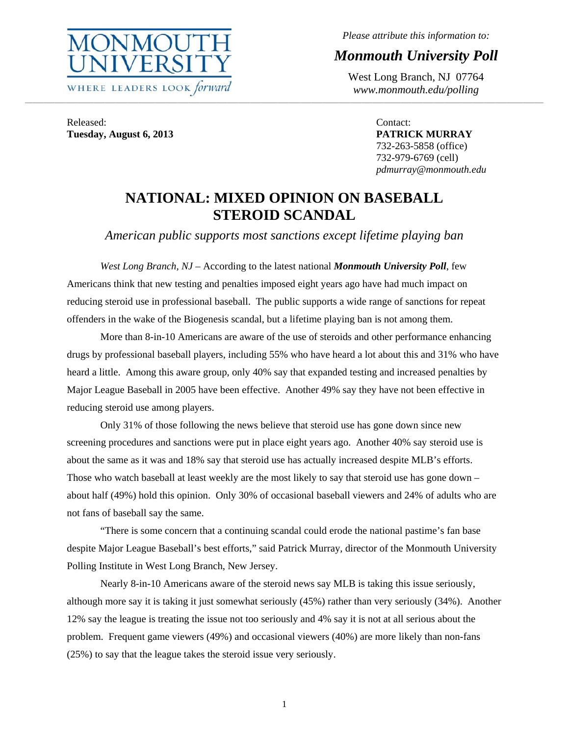

*Please attribute this information to:* 

*Monmouth University Poll* 

West Long Branch, NJ 07764 *www.monmouth.edu/polling* 

Released: **Tuesday, August 6, 2013** 

Contact: **PATRICK MURRAY**  732-263-5858 (office) 732-979-6769 (cell) *pdmurray@monmouth.edu* 

# **NATIONAL: MIXED OPINION ON BASEBALL STEROID SCANDAL**

,我们就会不能让我们的事情。""我们的事情,我们也不能不能让我们的事情。""我们的事情,我们就会不能让我们的事情。""我们的事情,我们的事情,我们就会不能让我们

*American public supports most sanctions except lifetime playing ban* 

*West Long Branch, NJ* – According to the latest national *Monmouth University Poll*, few Americans think that new testing and penalties imposed eight years ago have had much impact on reducing steroid use in professional baseball. The public supports a wide range of sanctions for repeat offenders in the wake of the Biogenesis scandal, but a lifetime playing ban is not among them.

 More than 8-in-10 Americans are aware of the use of steroids and other performance enhancing drugs by professional baseball players, including 55% who have heard a lot about this and 31% who have heard a little. Among this aware group, only 40% say that expanded testing and increased penalties by Major League Baseball in 2005 have been effective. Another 49% say they have not been effective in reducing steroid use among players.

 Only 31% of those following the news believe that steroid use has gone down since new screening procedures and sanctions were put in place eight years ago. Another 40% say steroid use is about the same as it was and 18% say that steroid use has actually increased despite MLB's efforts. Those who watch baseball at least weekly are the most likely to say that steroid use has gone down – about half (49%) hold this opinion. Only 30% of occasional baseball viewers and 24% of adults who are not fans of baseball say the same.

 "There is some concern that a continuing scandal could erode the national pastime's fan base despite Major League Baseball's best efforts," said Patrick Murray, director of the Monmouth University Polling Institute in West Long Branch, New Jersey.

 Nearly 8-in-10 Americans aware of the steroid news say MLB is taking this issue seriously, although more say it is taking it just somewhat seriously (45%) rather than very seriously (34%). Another 12% say the league is treating the issue not too seriously and 4% say it is not at all serious about the problem. Frequent game viewers (49%) and occasional viewers (40%) are more likely than non-fans (25%) to say that the league takes the steroid issue very seriously.

1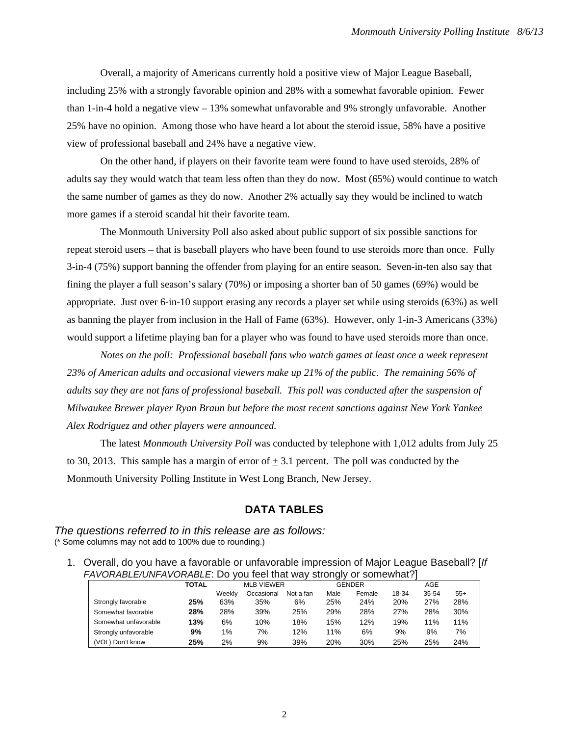Overall, a majority of Americans currently hold a positive view of Major League Baseball, including 25% with a strongly favorable opinion and 28% with a somewhat favorable opinion. Fewer than 1-in-4 hold a negative view – 13% somewhat unfavorable and 9% strongly unfavorable. Another 25% have no opinion. Among those who have heard a lot about the steroid issue, 58% have a positive view of professional baseball and 24% have a negative view.

 On the other hand, if players on their favorite team were found to have used steroids, 28% of adults say they would watch that team less often than they do now. Most (65%) would continue to watch the same number of games as they do now. Another 2% actually say they would be inclined to watch more games if a steroid scandal hit their favorite team.

 The Monmouth University Poll also asked about public support of six possible sanctions for repeat steroid users – that is baseball players who have been found to use steroids more than once. Fully 3-in-4 (75%) support banning the offender from playing for an entire season. Seven-in-ten also say that fining the player a full season's salary (70%) or imposing a shorter ban of 50 games (69%) would be appropriate. Just over 6-in-10 support erasing any records a player set while using steroids (63%) as well as banning the player from inclusion in the Hall of Fame (63%). However, only 1-in-3 Americans (33%) would support a lifetime playing ban for a player who was found to have used steroids more than once.

 *Notes on the poll: Professional baseball fans who watch games at least once a week represent 23% of American adults and occasional viewers make up 21% of the public. The remaining 56% of adults say they are not fans of professional baseball. This poll was conducted after the suspension of Milwaukee Brewer player Ryan Braun but before the most recent sanctions against New York Yankee Alex Rodriguez and other players were announced.* 

The latest *Monmouth University Poll* was conducted by telephone with 1,012 adults from July 25 to 30, 2013. This sample has a margin of error of  $+3.1$  percent. The poll was conducted by the Monmouth University Polling Institute in West Long Branch, New Jersey.

# **DATA TABLES**

*The questions referred to in this release are as follows:*  (\* Some columns may not add to 100% due to rounding.)

1. Overall, do you have a favorable or unfavorable impression of Major League Baseball? [*If FAVORABLE/UNFAVORABLE*: Do you feel that way strongly or somewhat?]

| ---------------      |       |        |                   |           |               |        |            |           |       |  |  |  |  |
|----------------------|-------|--------|-------------------|-----------|---------------|--------|------------|-----------|-------|--|--|--|--|
|                      | TOTAL |        | <b>MLB VIEWER</b> |           | <b>GENDER</b> |        |            | AGE       |       |  |  |  |  |
|                      |       | Weeklv | Occasional        | Not a fan | Male          | Female | 18-34      | $35 - 54$ | $55+$ |  |  |  |  |
| Strongly favorable   | 25%   | 63%    | 35%               | 6%        | 25%           | 24%    | <b>20%</b> | 27%       | 28%   |  |  |  |  |
| Somewhat favorable   | 28%   | 28%    | 39%               | 25%       | 29%           | 28%    | 27%        | 28%       | 30%   |  |  |  |  |
| Somewhat unfavorable | 13%   | 6%     | 10%               | 18%       | 15%           | 12%    | 19%        | 11%       | 11%   |  |  |  |  |
| Strongly unfavorable | 9%    | 1%     | 7%                | 12%       | 11%           | 6%     | 9%         | 9%        | 7%    |  |  |  |  |
| (VOL) Don't know     | 25%   | 2%     | 9%                | 39%       | 20%           | 30%    | 25%        | 25%       | 24%   |  |  |  |  |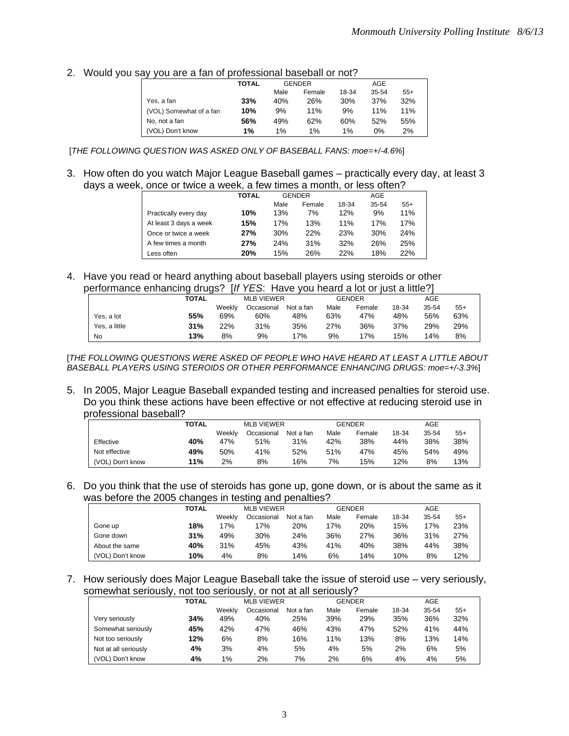2. Would you say you are a fan of professional baseball or not?

|                         | TOTAL |      | <b>GENDER</b> |       | AGE   |       |  |
|-------------------------|-------|------|---------------|-------|-------|-------|--|
|                         |       | Male | Female        | 18-34 | 35-54 | $55+$ |  |
| Yes, a fan              | 33%   | 40%  | 26%           | 30%   | 37%   | 32%   |  |
| (VOL) Somewhat of a fan | 10%   | 9%   | 11%           | 9%    | 11%   | 11%   |  |
| No, not a fan           | 56%   | 49%  | 62%           | 60%   | 52%   | 55%   |  |
| (VOL) Don't know        | 1%    | 1%   | 1%            | $1\%$ | 0%    | 2%    |  |

[*THE FOLLOWING QUESTION WAS ASKED ONLY OF BASEBALL FANS: moe=+/-4.6%*]

3. How often do you watch Major League Baseball games – practically every day, at least 3 days a week, once or twice a week, a few times a month, or less often?

|                        | <b>TOTAL</b> |      |        |               | AGE   |       |  |
|------------------------|--------------|------|--------|---------------|-------|-------|--|
|                        |              | Male | Female | 18-34         | 35-54 | $55+$ |  |
| Practically every day  | 10%          | 13%  | 7%     | 12%           | 9%    | 11%   |  |
| At least 3 days a week | 15%          | 17%  | 13%    | 11%           | 17%   | 17%   |  |
| Once or twice a week   | 27%          | 30%  | 22%    | 23%           | 30%   | 24%   |  |
| A few times a month    | 27%          | 24%  | 31%    | 32%           | 26%   | 25%   |  |
| Less often             | 20%          | 15%  | 26%    | 22%           | 18%   | 22%   |  |
|                        |              |      |        | <b>GENDER</b> |       |       |  |

4. Have you read or heard anything about baseball players using steroids or other performance enhancing drugs? [*If YES*: Have you heard a lot or just a little?]

| Chomiance chilancing drugs: |       |            |                   |           |      |               |       |       |       |  |
|-----------------------------|-------|------------|-------------------|-----------|------|---------------|-------|-------|-------|--|
|                             | TOTAL |            | <b>MLB VIEWER</b> |           |      | <b>GENDER</b> |       | AGE   |       |  |
|                             |       | Weekly     | Occasional        | Not a fan | Male | Female        | 18-34 | 35-54 | $55+$ |  |
| Yes, a lot                  | 55%   | 69%        | 60%               | 48%       | 63%  | 47%           | 48%   | 56%   | 63%   |  |
| Yes, a little               | 31%   | <b>22%</b> | 31%               | 35%       | 27%  | 36%           | 37%   | 29%   | 29%   |  |
| No                          | 13%   | 8%         | 9%                | 17%       | 9%   | 17%           | 15%   | 14%   | 8%    |  |

[*THE FOLLOWING QUESTIONS WERE ASKED OF PEOPLE WHO HAVE HEARD AT LEAST A LITTLE ABOUT BASEBALL PLAYERS USING STEROIDS OR OTHER PERFORMANCE ENHANCING DRUGS: moe=+/-3.3%*]

5. In 2005, Major League Baseball expanded testing and increased penalties for steroid use. Do you think these actions have been effective or not effective at reducing steroid use in professional baseball?

|                  | TOTAL |        | <b>MLB VIEWER</b> |           | <b>GENDER</b> |        |       | AGE   |       |
|------------------|-------|--------|-------------------|-----------|---------------|--------|-------|-------|-------|
|                  |       | Weekly | Occasional        | Not a fan | Male          | Female | 18-34 | 35-54 | $55+$ |
| Effective        | 40%   | 47%    | 51%               | 31%       | 42%           | 38%    | 44%   | 38%   | 38%   |
| Not effective    | 49%   | 50%    | 41%               | 52%       | 51%           | 47%    | 45%   | 54%   | 49%   |
| (VOL) Don't know | 11%   | 2%     | 8%                | 16%       | 7%            | 15%    | 12%   | 8%    | 13%   |

6. Do you think that the use of steroids has gone up, gone down, or is about the same as it was before the 2005 changes in testing and penalties?

|                  | -     |        | -                 |           |               |        |       |       |       |  |  |
|------------------|-------|--------|-------------------|-----------|---------------|--------|-------|-------|-------|--|--|
|                  | TOTAL |        | <b>MLB VIEWER</b> |           | <b>GENDER</b> |        |       | AGE   |       |  |  |
|                  |       | Weekly | Occasional        | Not a fan | Male          | Female | 18-34 | 35-54 | $55+$ |  |  |
| Gone up          | 18%   | 17%    | 17%               | 20%       | 17%           | 20%    | 15%   | 17%   | 23%   |  |  |
| Gone down        | 31%   | 49%    | 30%               | 24%       | 36%           | 27%    | 36%   | 31%   | 27%   |  |  |
| About the same   | 40%   | 31%    | 45%               | 43%       | 41%           | 40%    | 38%   | 44%   | 38%   |  |  |
| (VOL) Don't know | 10%   | 4%     | 8%                | 14%       | 6%            | 14%    | 10%   | 8%    | 12%   |  |  |

7. How seriously does Major League Baseball take the issue of steroid use – very seriously, somewhat seriously, not too seriously, or not at all seriously?

|                      | TOTAL | <b>MLB VIEWER</b> |            |           |      | <b>GENDER</b> | <b>AGE</b> |       |       |
|----------------------|-------|-------------------|------------|-----------|------|---------------|------------|-------|-------|
|                      |       | Weeklv            | Occasional | Not a fan | Male | Female        | 18-34      | 35-54 | $55+$ |
| Very seriously       | 34%   | 49%               | 40%        | 25%       | 39%  | 29%           | 35%        | 36%   | 32%   |
| Somewhat seriously   | 45%   | 42%               | 47%        | 46%       | 43%  | 47%           | 52%        | 41%   | 44%   |
| Not too seriously    | 12%   | 6%                | 8%         | 16%       | 11%  | 13%           | 8%         | 13%   | 14%   |
| Not at all seriously | 4%    | 3%                | 4%         | 5%        | 4%   | 5%            | 2%         | 6%    | 5%    |
| (VOL) Don't know     | 4%    | 1%                | 2%         | 7%        | 2%   | 6%            | 4%         | 4%    | 5%    |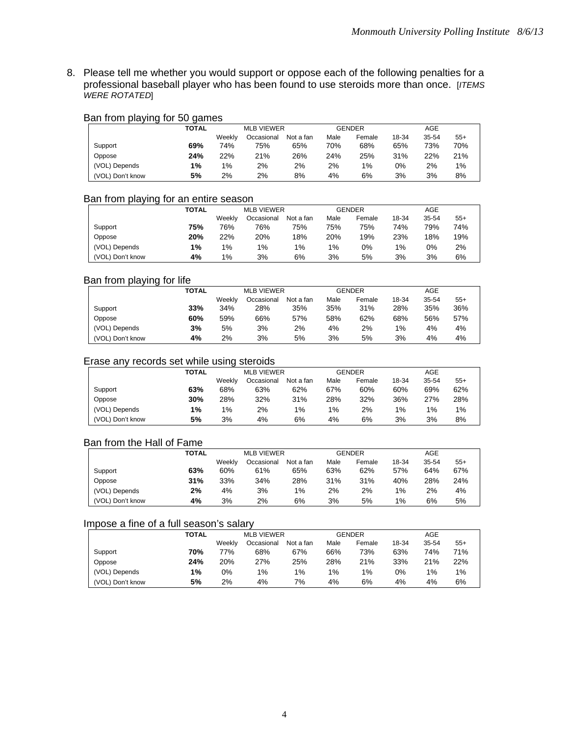8. Please tell me whether you would support or oppose each of the following penalties for a professional baseball player who has been found to use steroids more than once. [*ITEMS WERE ROTATED*]

#### Ban from playing for 50 games

|                  | TOTAL |        | <b>MLB VIEWER</b> |           | <b>GENDER</b> |        |       | AGE   |       |  |  |
|------------------|-------|--------|-------------------|-----------|---------------|--------|-------|-------|-------|--|--|
|                  |       | Weekly | Occasional        | Not a fan | Male          | Female | 18-34 | 35-54 | $55+$ |  |  |
| Support          | 69%   | 74%    | 75%               | 65%       | 70%           | 68%    | 65%   | 73%   | 70%   |  |  |
| Oppose           | 24%   | 22%    | 21%               | 26%       | 24%           | 25%    | 31%   | 22%   | 21%   |  |  |
| (VOL) Depends    | 1%    | $1\%$  | 2%                | 2%        | 2%            | $1\%$  | 0%    | 2%    | 1%    |  |  |
| (VOL) Don't know | 5%    | 2%     | 2%                | 8%        | 4%            | 6%     | 3%    | 3%    | 8%    |  |  |

#### Ban from playing for an entire season

|                  | TOTAL |        | <b>MLB VIEWER</b> |           |       | <b>GENDER</b> |       | AGE   |       |
|------------------|-------|--------|-------------------|-----------|-------|---------------|-------|-------|-------|
|                  |       | Weekly | Occasional        | Not a fan | Male  | Female        | 18-34 | 35-54 | $55+$ |
| Support          | 75%   | 76%    | 76%               | 75%       | 75%   | 75%           | 74%   | 79%   | 74%   |
| Oppose           | 20%   | 22%    | 20%               | 18%       | 20%   | 19%           | 23%   | 18%   | 19%   |
| (VOL) Depends    | 1%    | 1%     | 1%                | 1%        | $1\%$ | 0%            | 1%    | 0%    | 2%    |
| (VOL) Don't know | 4%    | 1%     | 3%                | 6%        | 3%    | 5%            | 3%    | 3%    | 6%    |

#### Ban from playing for life

|                  | TOTAL |        | <b>MLB VIEWER</b> |           |      | <b>GENDER</b> |       | AGE   |       |
|------------------|-------|--------|-------------------|-----------|------|---------------|-------|-------|-------|
|                  |       | Weeklv | Occasional        | Not a fan | Male | Female        | 18-34 | 35-54 | $55+$ |
| Support          | 33%   | 34%    | 28%               | 35%       | 35%  | 31%           | 28%   | 35%   | 36%   |
| Oppose           | 60%   | 59%    | 66%               | 57%       | 58%  | 62%           | 68%   | 56%   | 57%   |
| (VOL) Depends    | 3%    | 5%     | 3%                | 2%        | 4%   | 2%            | 1%    | 4%    | 4%    |
| (VOL) Don't know | 4%    | 2%     | 3%                | 5%        | 3%   | 5%            | 3%    | 4%    | 4%    |

### Erase any records set while using steroids

|                  | TOTAL |        |            | <b>MI B VIEWER</b> |      | <b>GENDER</b> |       | AGE   |       |
|------------------|-------|--------|------------|--------------------|------|---------------|-------|-------|-------|
|                  |       | Weekly | Occasional | Not a fan          | Male | Female        | 18-34 | 35-54 | $55+$ |
| Support          | 63%   | 68%    | 63%        | 62%                | 67%  | 60%           | 60%   | 69%   | 62%   |
| Oppose           | 30%   | 28%    | 32%        | 31%                | 28%  | 32%           | 36%   | 27%   | 28%   |
| (VOL) Depends    | 1%    | $1\%$  | 2%         | 1%                 | 1%   | 2%            | 1%    | 1%    | $1\%$ |
| (VOL) Don't know | 5%    | 3%     | 4%         | 6%                 | 4%   | 6%            | 3%    | 3%    | 8%    |

#### Ban from the Hall of Fame

|                  | TOTAL |        | <b>MLB VIEWER</b> |           |      | <b>GENDER</b> |       | AGE       |       |
|------------------|-------|--------|-------------------|-----------|------|---------------|-------|-----------|-------|
|                  |       | Weekly | Occasional        | Not a fan | Male | Female        | 18-34 | $35 - 54$ | $55+$ |
| Support          | 63%   | 60%    | 61%               | 65%       | 63%  | 62%           | 57%   | 64%       | 67%   |
| Oppose           | 31%   | 33%    | 34%               | 28%       | 31%  | 31%           | 40%   | 28%       | 24%   |
| (VOL) Depends    | 2%    | 4%     | 3%                | 1%        | 2%   | 2%            | $1\%$ | 2%        | 4%    |
| (VOL) Don't know | 4%    | 3%     | 2%                | 6%        | 3%   | 5%            | 1%    | 6%        | 5%    |

## Impose a fine of a full season's salary

|                  | TOTAL |        | <b>MLB VIEWER</b> |           |      | <b>GENDER</b> |       | AGE   |       |
|------------------|-------|--------|-------------------|-----------|------|---------------|-------|-------|-------|
|                  |       | Weeklv | Occasional        | Not a fan | Male | Female        | 18-34 | 35-54 | $55+$ |
| Support          | 70%   | 77%    | 68%               | 67%       | 66%  | 73%           | 63%   | 74%   | 71%   |
| Oppose           | 24%   | 20%    | 27%               | 25%       | 28%  | 21%           | 33%   | 21%   | 22%   |
| (VOL) Depends    | 1%    | 0%     | 1%                | 1%        | 1%   | 1%            | 0%    | 1%    | $1\%$ |
| (VOL) Don't know | 5%    | 2%     | 4%                | 7%        | 4%   | 6%            | 4%    | 4%    | 6%    |